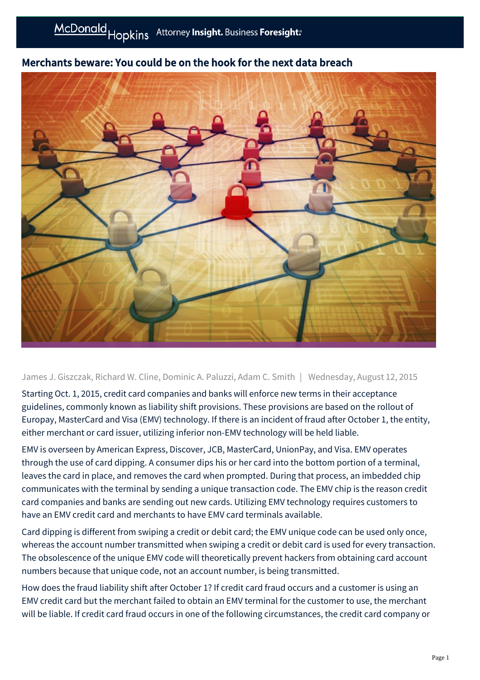

## Merchants beware: You could be on the hook for the next data breach

James J. Giszczak, Richard W. Cline, Dominic A. Paluzzi, Adam C. Smith | Wednesday, August 12, 2015

Starting Oct. 1, 2015, credit card companies and banks will enforce new terms in their acceptance guidelines, commonly known as liability shift provisions. These provisions are based on the rollout of Europay, MasterCard and Visa (EMV) technology. If there is an incident of fraud after October 1, the entity, either merchant or card issuer, utilizing inferior non-EMV technology will be held liable.

EMV is overseen by American Express, Discover, JCB, MasterCard, UnionPay, and Visa. EMV operates through the use of card dipping. A consumer dips his or her card into the bottom portion of a terminal, leaves the card in place, and removes the card when prompted. During that process, an imbedded chip communicates with the terminal by sending a unique transaction code. The EMV chip is the reason credit card companies and banks are sending out new cards. Utilizing EMV technology requires customers to have an EMV credit card and merchants to have EMV card terminals available.

Card dipping is different from swiping a credit or debit card; the EMV unique code can be used only once, whereas the account number transmitted when swiping a credit or debit card is used for every transaction. The obsolescence of the unique EMV code will theoretically prevent hackers from obtaining card account numbers because that unique code, not an account number, is being transmitted.

How does the fraud liability shift after October 1? If credit card fraud occurs and a customer is using an EMV credit card but the merchant failed to obtain an EMV terminal for the customer to use, the merchant will be liable. If credit card fraud occurs in one of the following circumstances, the credit card company or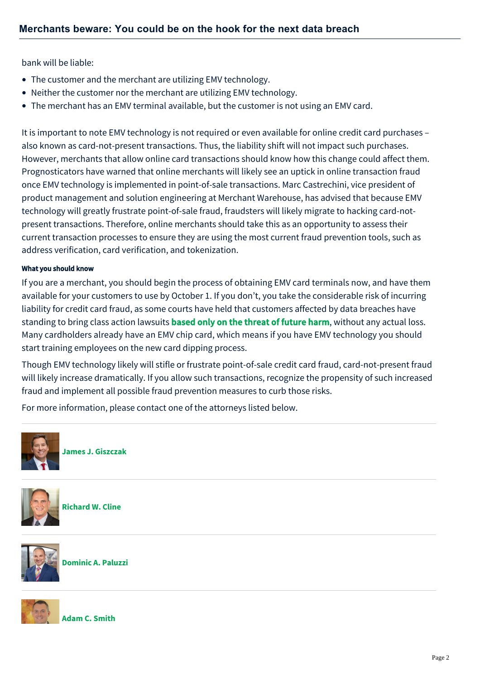bank will be liable:

- The customer and the merchant are utilizing EMV technology.
- Neither the customer nor the merchant are utilizing EMV technology.
- The merchant has an EMV terminal available, but the customer is not using an EMV card.

It is important to note EMV technology is not required or even available for online credit card purchases – also known as card-not-present transactions. Thus, the liability shift will not impact such purchases. However, merchants that allow online card transactions should know how this change could affect them. Prognosticators have warned that online merchants will likely see an uptick in online transaction fraud once EMV technology is implemented in point-of-sale transactions. Marc Castrechini, vice president of product management and solution engineering at Merchant Warehouse, has advised that because EMV technology will greatly frustrate point-of-sale fraud, fraudsters will likely migrate to hacking card-notpresent transactions. Therefore, online merchants should take this as an opportunity to assess their current transaction processes to ensure they are using the most current fraud prevention tools, such as address verification, card verification, and tokenization.

## What you should know

If you are a merchant, you should begin the process of obtaining EMV card terminals now, and have them available for your customers to use by October 1. If you don't, you take the considerable risk of incurring liability for credit card fraud, as some courts have held that customers affected by data breaches have standing to bring class action lawsuits **based only on the threat of future harm**, without any actual loss. Many cardholders already have an EMV chip card, which means if you have EMV technology you should start training employees on the new card dipping process.

Though EMV technology likely will stifle or frustrate point-of-sale credit card fraud, card-not-present fraud will likely increase dramatically. If you allow such transactions, recognize the propensity of such increased fraud and implement all possible fraud prevention measures to curb those risks.

For more information, please contact one of the attorneys listed below.



**[James J. Giszczak](https://mcdonaldhopkins.com/Team/Attorney/j/James-Giszczak)**



**[Richard W. Cline](https://mcdonaldhopkins.com/Team/Attorney/r/Richard-Cline)**



**[Dominic A. Paluzzi](https://mcdonaldhopkins.com/Team/Attorney/d/Dominic-Paluzzi)**



**[Adam C. Smith](https://mcdonaldhopkins.com/Team/Attorney/a/Adam-Smith)**